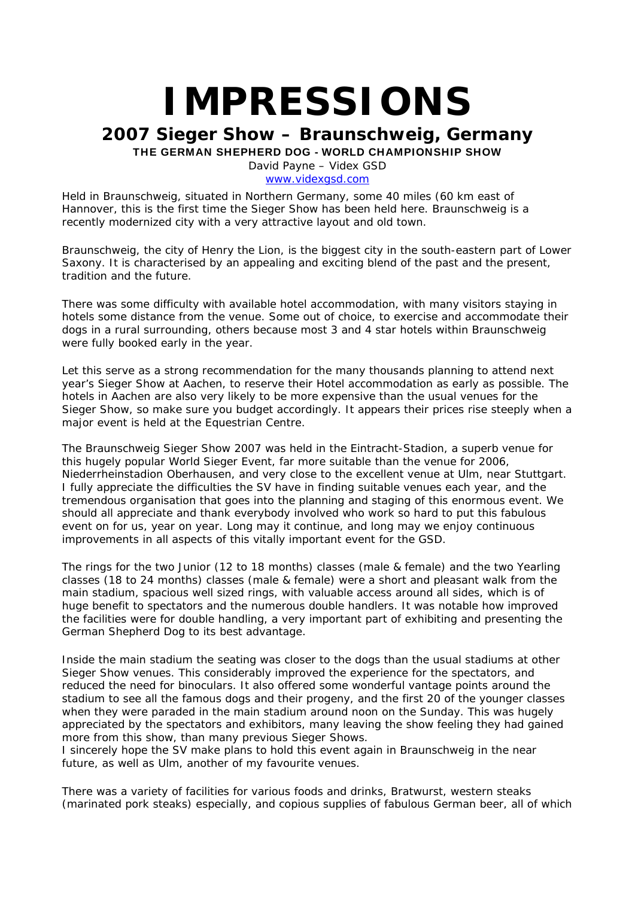# **IMPRESSIONS**

# **2007 Sieger Show – Braunschweig, Germany** THE GERMAN SHEPHERD DOG - WORLD CHAMPIONSHIP SHOW

David Payne – Videx GSD

www.videxgsd.com

Held in Braunschweig, situated in Northern Germany, some 40 miles (60 km east of Hannover, this is the first time the Sieger Show has been held here. Braunschweig is a recently modernized city with a very attractive layout and old town.

Braunschweig, the city of Henry the Lion, is the biggest city in the south-eastern part of Lower Saxony. It is characterised by an appealing and exciting blend of the past and the present, tradition and the future.

There was some difficulty with available hotel accommodation, with many visitors staying in hotels some distance from the venue. Some out of choice, to exercise and accommodate their dogs in a rural surrounding, others because most 3 and 4 star hotels within Braunschweig were fully booked early in the year.

Let this serve as a strong recommendation for the many thousands planning to attend next year's Sieger Show at Aachen, to reserve their Hotel accommodation as early as possible. The hotels in Aachen are also very likely to be more expensive than the usual venues for the Sieger Show, so make sure you budget accordingly. It appears their prices rise steeply when a major event is held at the Equestrian Centre.

The Braunschweig Sieger Show 2007 was held in the Eintracht-Stadion, a superb venue for this hugely popular World Sieger Event, far more suitable than the venue for 2006, Niederrheinstadion Oberhausen, and very close to the excellent venue at Ulm, near Stuttgart. I fully appreciate the difficulties the SV have in finding suitable venues each year, and the tremendous organisation that goes into the planning and staging of this enormous event. We should all appreciate and thank everybody involved who work so hard to put this fabulous event on for us, year on year. Long may it continue, and long may we enjoy continuous improvements in all aspects of this vitally important event for the GSD.

The rings for the two Junior (12 to 18 months) classes (male & female) and the two Yearling classes (18 to 24 months) classes (male & female) were a short and pleasant walk from the main stadium, spacious well sized rings, with valuable access around all sides, which is of huge benefit to spectators and the numerous double handlers. It was notable how improved the facilities were for double handling, a very important part of exhibiting and presenting the German Shepherd Dog to its best advantage.

Inside the main stadium the seating was closer to the dogs than the usual stadiums at other Sieger Show venues. This considerably improved the experience for the spectators, and reduced the need for binoculars. It also offered some wonderful vantage points around the stadium to see all the famous dogs and their progeny, and the first 20 of the younger classes when they were paraded in the main stadium around noon on the Sunday. This was hugely appreciated by the spectators and exhibitors, many leaving the show feeling they had gained more from this show, than many previous Sieger Shows.

I sincerely hope the SV make plans to hold this event again in Braunschweig in the near future, as well as Ulm, another of my favourite venues.

There was a variety of facilities for various foods and drinks, Bratwurst, western steaks (marinated pork steaks) especially, and copious supplies of fabulous German beer, all of which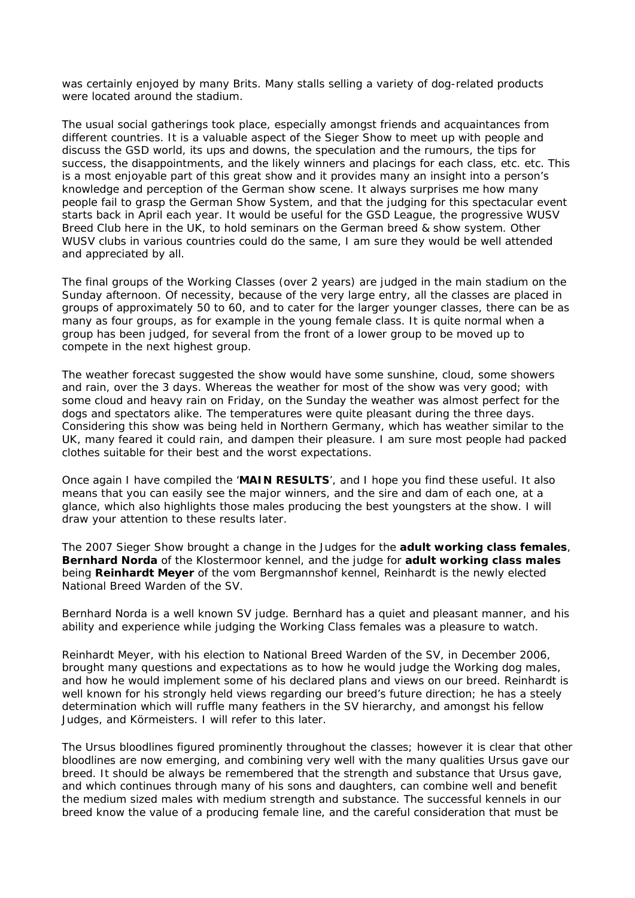was certainly enjoyed by many Brits. Many stalls selling a variety of dog-related products were located around the stadium.

The usual social gatherings took place, especially amongst friends and acquaintances from different countries. It is a valuable aspect of the Sieger Show to meet up with people and discuss the GSD world, its ups and downs, the speculation and the rumours, the tips for success, the disappointments, and the likely winners and placings for each class, etc. etc. This is a most enjoyable part of this great show and it provides many an insight into a person's knowledge and perception of the German show scene. It always surprises me how many people fail to grasp the German Show System, and that the judging for this spectacular event starts back in April each year. It would be useful for the GSD League, the progressive WUSV Breed Club here in the UK, to hold seminars on the German breed & show system. Other WUSV clubs in various countries could do the same, I am sure they would be well attended and appreciated by all.

The final groups of the Working Classes (over 2 years) are judged in the main stadium on the Sunday afternoon. Of necessity, because of the very large entry, all the classes are placed in groups of approximately 50 to 60, and to cater for the larger younger classes, there can be as many as four groups, as for example in the young female class. It is quite normal when a group has been judged, for several from the front of a lower group to be moved up to compete in the next highest group.

The weather forecast suggested the show would have some sunshine, cloud, some showers and rain, over the 3 days. Whereas the weather for most of the show was very good; with some cloud and heavy rain on Friday, on the Sunday the weather was almost perfect for the dogs and spectators alike. The temperatures were quite pleasant during the three days. Considering this show was being held in Northern Germany, which has weather similar to the UK, many feared it could rain, and dampen their pleasure. I am sure most people had packed clothes suitable for their best and the worst expectations.

Once again I have compiled the '**MAIN RESULTS**', and I hope you find these useful. It also means that you can easily see the major winners, and the sire and dam of each one, at a glance, which also highlights those males producing the best youngsters at the show. I will draw your attention to these results later.

The 2007 Sieger Show brought a change in the Judges for the **adult working class females**, **Bernhard Norda** of the Klostermoor kennel, and the judge for **adult working class males** being **Reinhardt Meyer** of the vom Bergmannshof kennel, Reinhardt is the newly elected National Breed Warden of the SV.

Bernhard Norda is a well known SV judge. Bernhard has a quiet and pleasant manner, and his ability and experience while judging the Working Class females was a pleasure to watch.

Reinhardt Meyer, with his election to National Breed Warden of the SV, in December 2006, brought many questions and expectations as to how he would judge the Working dog males, and how he would implement some of his declared plans and views on our breed. Reinhardt is well known for his strongly held views regarding our breed's future direction; he has a steely determination which will ruffle many feathers in the SV hierarchy, and amongst his fellow Judges, and Körmeisters. I will refer to this later.

The Ursus bloodlines figured prominently throughout the classes; however it is clear that other bloodlines are now emerging, and combining very well with the many qualities Ursus gave our breed. It should be always be remembered that the strength and substance that Ursus gave, and which continues through many of his sons and daughters, can combine well and benefit the medium sized males with medium strength and substance. The successful kennels in our breed know the value of a producing female line, and the careful consideration that must be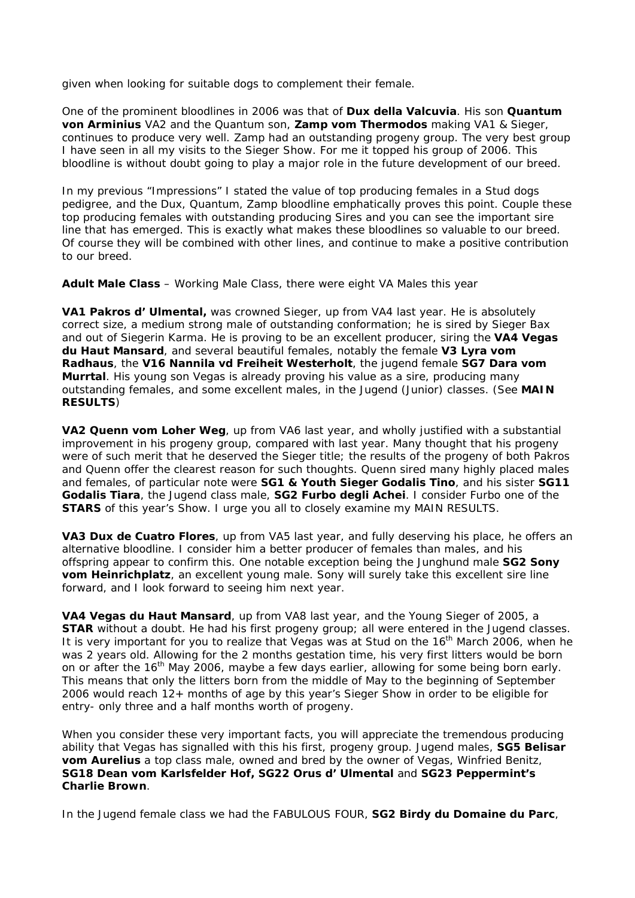given when looking for suitable dogs to complement their female.

One of the prominent bloodlines in 2006 was that of **Dux della Valcuvia**. His son **Quantum von Arminius** VA2 and the Quantum son, **Zamp vom Thermodos** making VA1 & Sieger, continues to produce very well. Zamp had an outstanding progeny group. The very best group I have seen in all my visits to the Sieger Show. For me it topped his group of 2006. This bloodline is without doubt going to play a major role in the future development of our breed.

In my previous "Impressions" I stated the value of top producing females in a Stud dogs pedigree, and the Dux, Quantum, Zamp bloodline emphatically proves this point. Couple these top producing females with outstanding producing Sires and you can see the important sire line that has emerged. This is exactly what makes these bloodlines so valuable to our breed. Of course they will be combined with other lines, and continue to make a positive contribution to our breed.

**Adult Male Class** – Working Male Class, there were eight VA Males this year

**VA1 Pakros d' Ulmental,** was crowned Sieger, up from VA4 last year. He is absolutely correct size, a medium strong male of outstanding conformation; he is sired by Sieger Bax and out of Siegerin Karma. He is proving to be an excellent producer, siring the **VA4 Vegas du Haut Mansard**, and several beautiful females, notably the female **V3 Lyra vom Radhaus**, the **V16 Nannila vd Freiheit Westerholt**, the jugend female **SG7 Dara vom Murrtal**. His young son Vegas is already proving his value as a sire, producing many outstanding females, and some excellent males, in the Jugend (Junior) classes. (See **MAIN RESULTS**)

**VA2 Quenn vom Loher Weg**, up from VA6 last year, and wholly justified with a substantial improvement in his progeny group, compared with last year. Many thought that his progeny were of such merit that he deserved the Sieger title; the results of the progeny of both Pakros and Quenn offer the clearest reason for such thoughts. Quenn sired many highly placed males and females, of particular note were **SG1 & Youth Sieger Godalis Tino**, and his sister **SG11 Godalis Tiara**, the Jugend class male, **SG2 Furbo degli Achei**. I consider Furbo one of the **STARS** of this year's Show. I urge you all to closely examine my MAIN RESULTS.

**VA3 Dux de Cuatro Flores**, up from VA5 last year, and fully deserving his place, he offers an alternative bloodline. I consider him a better producer of females than males, and his offspring appear to confirm this. One notable exception being the Junghund male **SG2 Sony vom Heinrichplatz**, an excellent young male. Sony will surely take this excellent sire line forward, and I look forward to seeing him next year.

**VA4 Vegas du Haut Mansard**, up from VA8 last year, and the Young Sieger of 2005, a **STAR** without a doubt. He had his first progeny group; all were entered in the Jugend classes. It is very important for you to realize that Vegas was at Stud on the 16<sup>th</sup> March 2006, when he was 2 years old. Allowing for the 2 months gestation time, his very first litters would be born on or after the  $16<sup>th</sup>$  May 2006, maybe a few days earlier, allowing for some being born early. This means that only the litters born from the middle of May to the beginning of September 2006 would reach 12+ months of age by this year's Sieger Show in order to be eligible for entry- only three and a half months worth of progeny.

When you consider these very important facts, you will appreciate the tremendous producing ability that Vegas has signalled with this his first, progeny group. Jugend males, **SG5 Belisar vom Aurelius** a top class male, owned and bred by the owner of Vegas, Winfried Benitz, **SG18 Dean vom Karlsfelder Hof, SG22 Orus d' Ulmental** and **SG23 Peppermint's Charlie Brown**.

In the Jugend female class we had the FABULOUS FOUR, **SG2 Birdy du Domaine du Parc**,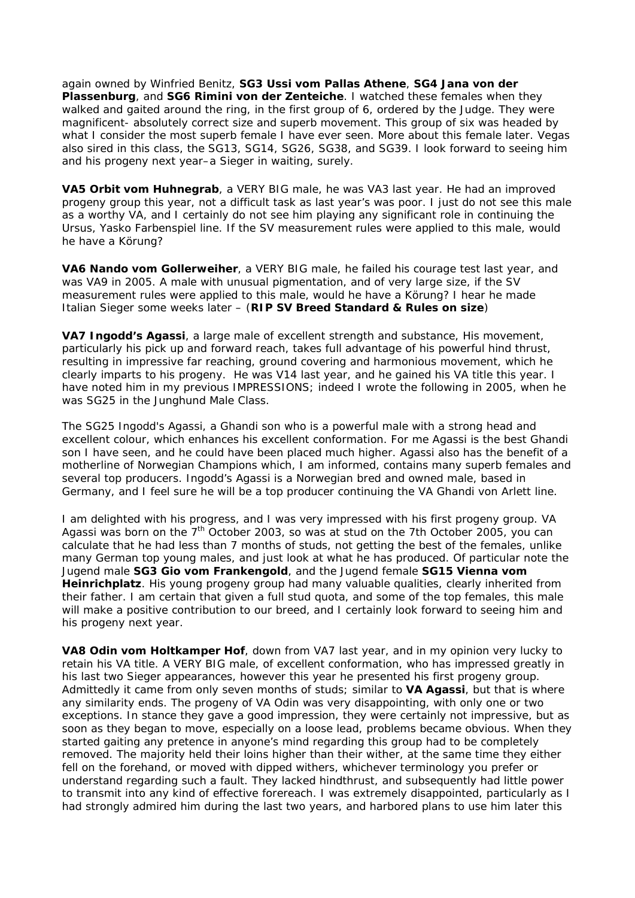again owned by Winfried Benitz, **SG3 Ussi vom Pallas Athene**, **SG4 Jana von der Plassenburg**, and **SG6 Rimini von der Zenteiche**. I watched these females when they walked and gaited around the ring, in the first group of 6, ordered by the Judge. They were magnificent- absolutely correct size and superb movement. This group of six was headed by what I consider the most superb female I have ever seen. More about this female later. Vegas also sired in this class, the SG13, SG14, SG26, SG38, and SG39. I look forward to seeing him and his progeny next year–a Sieger in waiting, surely.

**VA5 Orbit vom Huhnegrab**, a VERY BIG male, he was VA3 last year. He had an improved progeny group this year, not a difficult task as last year's was poor. I just do not see this male as a worthy VA, and I certainly do not see him playing any significant role in continuing the Ursus, Yasko Farbenspiel line. If the SV measurement rules were applied to this male, would he have a Körung?

**VA6 Nando vom Gollerweiher**, a VERY BIG male, he failed his courage test last year, and was VA9 in 2005. A male with unusual pigmentation, and of very large size, if the SV measurement rules were applied to this male, would he have a Körung? I hear he made Italian Sieger some weeks later – (**RIP SV Breed Standard & Rules on size**)

**VA7 Ingodd's Agassi**, a large male of excellent strength and substance, His movement, particularly his pick up and forward reach, takes full advantage of his powerful hind thrust, resulting in impressive far reaching, ground covering and harmonious movement, which he clearly imparts to his progeny. He was V14 last year, and he gained his VA title this year. I have noted him in my previous IMPRESSIONS; indeed I wrote the following in 2005, when he was SG25 in the Junghund Male Class.

*The SG25 Ingodd's Agassi, a Ghandi son who is a powerful male with a strong head and excellent colour, which enhances his excellent conformation. For me Agassi is the best Ghandi son I have seen, and he could have been placed much higher. Agassi also has the benefit of a motherline of Norwegian Champions which, I am informed, contains many superb females and several top producers. Ingodd's Agassi is a Norwegian bred and owned male, based in Germany, and I feel sure he will be a top producer continuing the VA Ghandi von Arlett line.* 

I am delighted with his progress, and I was very impressed with his first progeny group. VA Agassi was born on the 7<sup>th</sup> October 2003, so was at stud on the 7th October 2005, you can calculate that he had less than 7 months of studs, not getting the best of the females, unlike many German top young males, and just look at what he has produced. Of particular note the Jugend male **SG3 Gio vom Frankengold**, and the Jugend female **SG15 Vienna vom Heinrichplatz**. His young progeny group had many valuable qualities, clearly inherited from their father. I am certain that given a full stud quota, and some of the top females, this male will make a positive contribution to our breed, and I certainly look forward to seeing him and his progeny next year.

**VA8 Odin vom Holtkamper Hof**, down from VA7 last year, and in my opinion very lucky to retain his VA title. A VERY BIG male, of excellent conformation, who has impressed greatly in his last two Sieger appearances, however this year he presented his first progeny group. Admittedly it came from only seven months of studs; similar to **VA Agassi**, but that is where any similarity ends. The progeny of VA Odin was very disappointing, with only one or two exceptions. In stance they gave a good impression, they were certainly not impressive, but as soon as they began to move, especially on a loose lead, problems became obvious. When they started gaiting any pretence in anyone's mind regarding this group had to be completely removed. The majority held their loins higher than their wither, at the same time they either fell on the forehand, or moved with dipped withers, whichever terminology you prefer or understand regarding such a fault. They lacked hindthrust, and subsequently had little power to transmit into any kind of effective forereach. I was extremely disappointed, particularly as I had strongly admired him during the last two years, and harbored plans to use him later this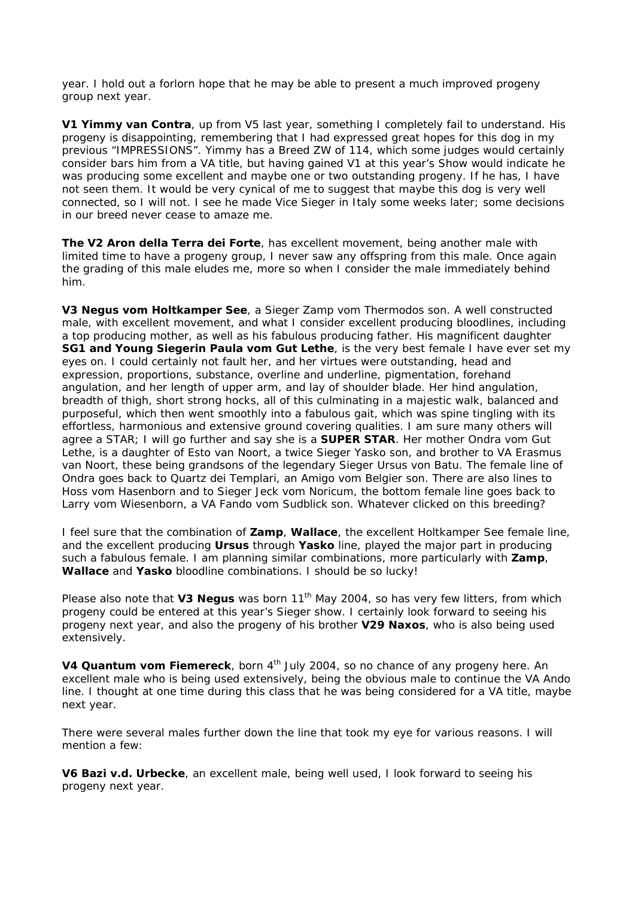year. I hold out a forlorn hope that he may be able to present a much improved progeny group next year.

**V1 Yimmy van Contra**, up from V5 last year, something I completely fail to understand. His progeny is disappointing, remembering that I had expressed great hopes for this dog in my previous "IMPRESSIONS". Yimmy has a Breed ZW of 114, which some judges would certainly consider bars him from a VA title, but having gained V1 at this year's Show would indicate he was producing some excellent and maybe one or two outstanding progeny. If he has, I have not seen them. It would be very cynical of me to suggest that maybe this dog is very well connected, so I will not. I see he made Vice Sieger in Italy some weeks later; some decisions in our breed never cease to amaze me.

**The V2 Aron della Terra dei Forte**, has excellent movement, being another male with limited time to have a progeny group, I never saw any offspring from this male. Once again the grading of this male eludes me, more so when I consider the male immediately behind him.

**V3 Negus vom Holtkamper See**, a Sieger Zamp vom Thermodos son. A well constructed male, with excellent movement, and what I consider excellent producing bloodlines, including a top producing mother, as well as his fabulous producing father. His magnificent daughter **SG1 and Young Siegerin Paula vom Gut Lethe**, is the very best female I have ever set my eyes on. I could certainly not fault her, and her virtues were outstanding, head and expression, proportions, substance, overline and underline, pigmentation, forehand angulation, and her length of upper arm, and lay of shoulder blade. Her hind angulation, breadth of thigh, short strong hocks, all of this culminating in a majestic walk, balanced and purposeful, which then went smoothly into a fabulous gait, which was spine tingling with its effortless, harmonious and extensive ground covering qualities. I am sure many others will agree a STAR; I will go further and say she is a **SUPER STAR**. Her mother Ondra vom Gut Lethe, is a daughter of Esto van Noort, a twice Sieger Yasko son, and brother to VA Erasmus van Noort, these being grandsons of the legendary Sieger Ursus von Batu. The female line of Ondra goes back to Quartz dei Templari, an Amigo vom Belgier son. There are also lines to Hoss vom Hasenborn and to Sieger Jeck vom Noricum, the bottom female line goes back to Larry vom Wiesenborn, a VA Fando vom Sudblick son. Whatever clicked on this breeding?

I feel sure that the combination of **Zamp**, **Wallace**, the excellent Holtkamper See female line, and the excellent producing **Ursus** through **Yasko** line, played the major part in producing such a fabulous female. I am planning similar combinations, more particularly with **Zamp**, **Wallace** and **Yasko** bloodline combinations. I should be so lucky!

Please also note that V3 Negus was born 11<sup>th</sup> May 2004, so has very few litters, from which progeny could be entered at this year's Sieger show. I certainly look forward to seeing his progeny next year, and also the progeny of his brother **V29 Naxos**, who is also being used extensively.

**V4 Quantum vom Fiemereck**, born 4<sup>th</sup> July 2004, so no chance of any progeny here. An excellent male who is being used extensively, being the obvious male to continue the VA Ando line. I thought at one time during this class that he was being considered for a VA title, maybe next year.

There were several males further down the line that took my eye for various reasons. I will mention a few:

**V6 Bazi v.d. Urbecke**, an excellent male, being well used, I look forward to seeing his progeny next year.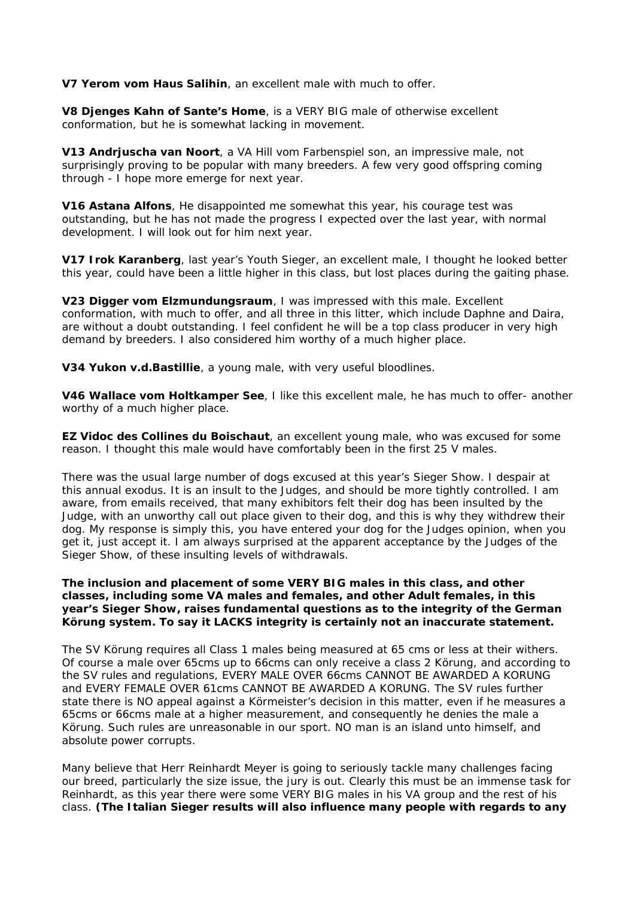**V7 Yerom vom Haus Salihin**, an excellent male with much to offer.

**V8 Djenges Kahn of Sante's Home**, is a VERY BIG male of otherwise excellent conformation, but he is somewhat lacking in movement.

**V13 Andrjuscha van Noort**, a VA Hill vom Farbenspiel son, an impressive male, not surprisingly proving to be popular with many breeders. A few very good offspring coming through - I hope more emerge for next year.

**V16 Astana Alfons**, He disappointed me somewhat this year, his courage test was outstanding, but he has not made the progress I expected over the last year, with normal development. I will look out for him next year.

**V17 Irok Karanberg**, last year's Youth Sieger, an excellent male, I thought he looked better this year, could have been a little higher in this class, but lost places during the gaiting phase.

**V23 Digger vom Elzmundungsraum**, I was impressed with this male. Excellent conformation, with much to offer, and all three in this litter, which include Daphne and Daira, are without a doubt outstanding. I feel confident he will be a top class producer in very high demand by breeders. I also considered him worthy of a much higher place.

**V34 Yukon v.d.Bastillie**, a young male, with very useful bloodlines.

**V46 Wallace vom Holtkamper See**, I like this excellent male, he has much to offer- another worthy of a much higher place.

**EZ Vidoc des Collines du Boischaut**, an excellent young male, who was excused for some reason. I thought this male would have comfortably been in the first 25 V males.

There was the usual large number of dogs excused at this year's Sieger Show. I despair at this annual exodus. It is an insult to the Judges, and should be more tightly controlled. I am aware, from emails received, that many exhibitors felt their dog has been insulted by the Judge, with an unworthy call out place given to their dog, and this is why they withdrew their dog. My response is simply this, you have entered your dog for the Judges opinion, when you get it, just accept it. I am always surprised at the apparent acceptance by the Judges of the Sieger Show, of these insulting levels of withdrawals.

#### **The inclusion and placement of some VERY BIG males in this class, and other classes, including some VA males and females, and other Adult females, in this year's Sieger Show, raises fundamental questions as to the integrity of the German Körung system. To say it LACKS integrity is certainly not an inaccurate statement.**

The SV Körung requires all Class 1 males being measured at 65 cms or less at their withers. Of course a male over 65cms up to 66cms can only receive a class 2 Körung, and according to the SV rules and regulations, EVERY MALE OVER 66cms CANNOT BE AWARDED A KORUNG and EVERY FEMALE OVER 61cms CANNOT BE AWARDED A KORUNG. The SV rules further state there is NO appeal against a Körmeister's decision in this matter, even if he measures a 65cms or 66cms male at a higher measurement, and consequently he denies the male a Körung. Such rules are unreasonable in our sport. NO man is an island unto himself, and absolute power corrupts.

Many believe that Herr Reinhardt Meyer is going to seriously tackle many challenges facing our breed, particularly the size issue, the jury is out. Clearly this must be an immense task for Reinhardt, as this year there were some VERY BIG males in his VA group and the rest of his class. **(The Italian Sieger results will also influence many people with regards to any**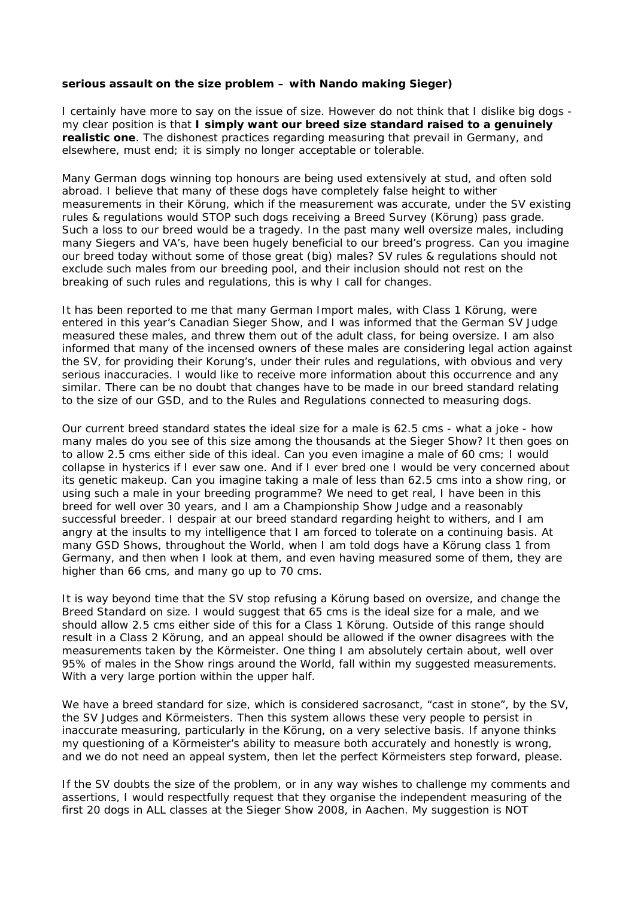## **serious assault on the size problem – with Nando making Sieger)**

I certainly have more to say on the issue of size. However do not think that I dislike big dogs my clear position is that **I simply want our breed size standard raised to a genuinely realistic one**. The dishonest practices regarding measuring that prevail in Germany, and elsewhere, must end; it is simply no longer acceptable or tolerable.

Many German dogs winning top honours are being used extensively at stud, and often sold abroad. I believe that many of these dogs have completely false height to wither measurements in their Körung, which if the measurement was accurate, under the SV existing rules & regulations would STOP such dogs receiving a Breed Survey (Körung) pass grade. Such a loss to our breed would be a tragedy. In the past many well oversize males, including many Siegers and VA's, have been hugely beneficial to our breed's progress. Can you imagine our breed today without some of those great (big) males? SV rules & regulations should not exclude such males from our breeding pool, and their inclusion should not rest on the breaking of such rules and regulations, this is why I call for changes.

It has been reported to me that many German Import males, with Class 1 Körung, were entered in this year's Canadian Sieger Show, and I was informed that the German SV Judge measured these males, and threw them out of the adult class, for being oversize. I am also informed that many of the incensed owners of these males are considering legal action against the SV, for providing their Korung's, under their rules and regulations, with obvious and very serious inaccuracies. I would like to receive more information about this occurrence and any similar. There can be no doubt that changes have to be made in our breed standard relating to the size of our GSD, and to the Rules and Regulations connected to measuring dogs.

Our current breed standard states the ideal size for a male is 62.5 cms - what a joke - how many males do you see of this size among the thousands at the Sieger Show? It then goes on to allow 2.5 cms either side of this ideal. Can you even imagine a male of 60 cms; I would collapse in hysterics if I ever saw one. And if I ever bred one I would be very concerned about its genetic makeup. Can you imagine taking a male of less than 62.5 cms into a show ring, or using such a male in your breeding programme? We need to get real, I have been in this breed for well over 30 years, and I am a Championship Show Judge and a reasonably successful breeder. I despair at our breed standard regarding height to withers, and I am angry at the insults to my intelligence that I am forced to tolerate on a continuing basis. At many GSD Shows, throughout the World, when I am told dogs have a Körung class 1 from Germany, and then when I look at them, and even having measured some of them, they are higher than 66 cms, and many go up to 70 cms.

It is way beyond time that the SV stop refusing a Körung based on oversize, and change the Breed Standard on size. I would suggest that 65 cms is the ideal size for a male, and we should allow 2.5 cms either side of this for a Class 1 Körung. Outside of this range should result in a Class 2 Körung, and an appeal should be allowed if the owner disagrees with the measurements taken by the Körmeister. One thing I am absolutely certain about, well over 95% of males in the Show rings around the World, fall within my suggested measurements. With a very large portion within the upper half.

We have a breed standard for size, which is considered sacrosanct, "cast in stone", by the SV, the SV Judges and Körmeisters. Then this system allows these very people to persist in inaccurate measuring, particularly in the Körung, on a very selective basis. If anyone thinks my questioning of a Körmeister's ability to measure both accurately and honestly is wrong, and we do not need an appeal system, then let the perfect Körmeisters step forward, please.

If the SV doubts the size of the problem, or in any way wishes to challenge my comments and assertions, I would respectfully request that they organise the independent measuring of the first 20 dogs in ALL classes at the Sieger Show 2008, in Aachen. My suggestion is NOT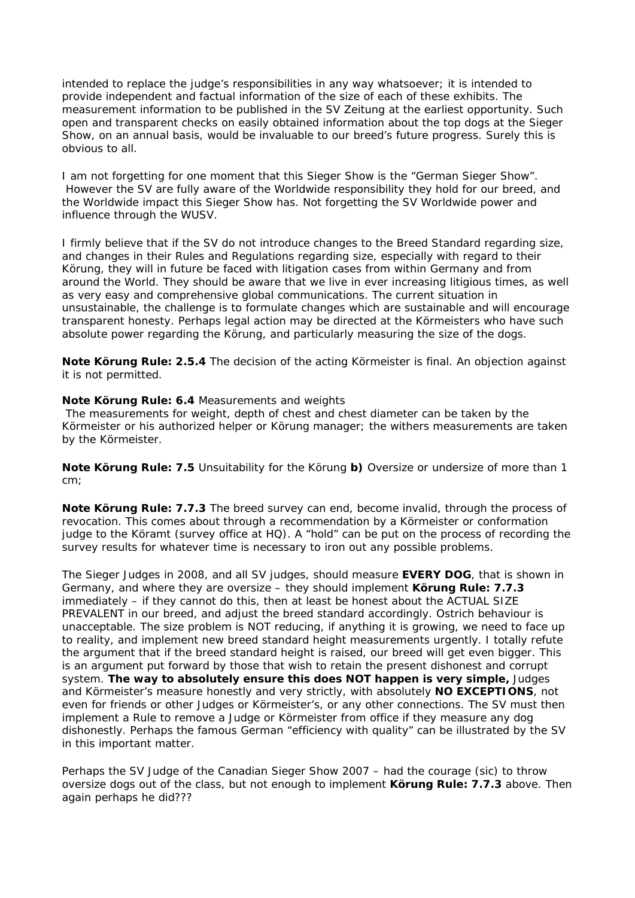intended to replace the judge's responsibilities in any way whatsoever; it is intended to provide independent and factual information of the size of each of these exhibits. The measurement information to be published in the SV Zeitung at the earliest opportunity. Such open and transparent checks on easily obtained information about the top dogs at the Sieger Show, on an annual basis, would be invaluable to our breed's future progress. Surely this is obvious to all.

I am not forgetting for one moment that this Sieger Show is the "German Sieger Show". However the SV are fully aware of the Worldwide responsibility they hold for our breed, and the Worldwide impact this Sieger Show has. Not forgetting the SV Worldwide power and influence through the WUSV.

I firmly believe that if the SV do not introduce changes to the Breed Standard regarding size, and changes in their Rules and Regulations regarding size, especially with regard to their Körung, they will in future be faced with litigation cases from within Germany and from around the World. They should be aware that we live in ever increasing litigious times, as well as very easy and comprehensive global communications. The current situation in unsustainable, the challenge is to formulate changes which are sustainable and will encourage transparent honesty. Perhaps legal action may be directed at the Körmeisters who have such absolute power regarding the Körung, and particularly measuring the size of the dogs.

**Note Körung Rule: 2.5.4** The decision of the acting Körmeister is final. An objection against it is not permitted.

#### **Note Körung Rule: 6.4** Measurements and weights

 The measurements for weight, depth of chest and chest diameter can be taken by the Körmeister or his authorized helper or Körung manager; the withers measurements are taken by the Körmeister.

**Note Körung Rule: 7.5** Unsuitability for the Körung **b)** Oversize or undersize of more than 1 cm;

**Note Körung Rule: 7.7.3** The breed survey can end, become invalid, through the process of revocation. This comes about through a recommendation by a Körmeister or conformation judge to the Köramt (survey office at HQ). A "hold" can be put on the process of recording the survey results for whatever time is necessary to iron out any possible problems.

The Sieger Judges in 2008, and all SV judges, should measure **EVERY DOG**, that is shown in Germany, and where they are oversize – they should implement **Körung Rule: 7.7.3** immediately – if they cannot do this, then at least be honest about the ACTUAL SIZE PREVALENT in our breed, and adjust the breed standard accordingly. Ostrich behaviour is unacceptable. The size problem is NOT reducing, if anything it is growing, we need to face up to reality, and implement new breed standard height measurements urgently. I totally refute the argument that if the breed standard height is raised, our breed will get even bigger. This is an argument put forward by those that wish to retain the present dishonest and corrupt system. **The way to absolutely ensure this does NOT happen is very simple,** Judges and Körmeister's measure honestly and very strictly, with absolutely **NO EXCEPTIONS**, not even for friends or other Judges or Körmeister's, or any other connections. The SV must then implement a Rule to remove a Judge or Körmeister from office if they measure any dog dishonestly. Perhaps the famous German "efficiency with quality" can be illustrated by the SV in this important matter.

Perhaps the SV Judge of the Canadian Sieger Show 2007 – had the courage (sic) to throw oversize dogs out of the class, but not enough to implement **Körung Rule: 7.7.3** above. Then again perhaps he did???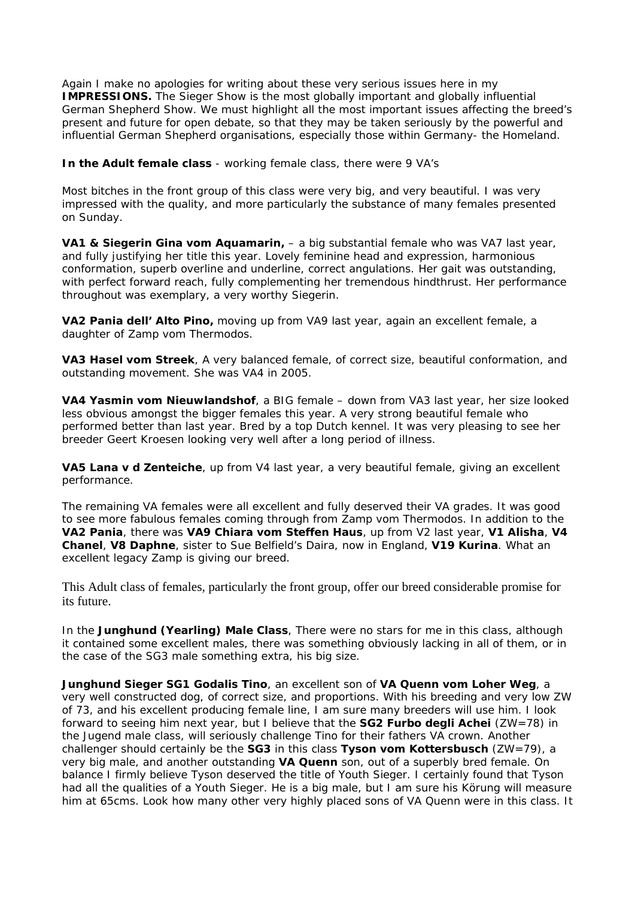Again I make no apologies for writing about these very serious issues here in my **IMPRESSIONS.** The Sieger Show is the most globally important and globally influential German Shepherd Show. We must highlight all the most important issues affecting the breed's present and future for open debate, so that they may be taken seriously by the powerful and influential German Shepherd organisations, especially those within Germany- the Homeland.

**In the Adult female class** - working female class, there were 9 VA's

Most bitches in the front group of this class were very big, and very beautiful. I was very impressed with the quality, and more particularly the substance of many females presented on Sunday.

**VA1 & Siegerin Gina vom Aquamarin,** - a big substantial female who was VA7 last year, and fully justifying her title this year. Lovely feminine head and expression, harmonious conformation, superb overline and underline, correct angulations. Her gait was outstanding, with perfect forward reach, fully complementing her tremendous hindthrust. Her performance throughout was exemplary, a very worthy Siegerin.

**VA2 Pania dell' Alto Pino,** moving up from VA9 last year, again an excellent female, a daughter of Zamp vom Thermodos.

**VA3 Hasel vom Streek**, A very balanced female, of correct size, beautiful conformation, and outstanding movement. She was VA4 in 2005.

**VA4 Yasmin vom Nieuwlandshof**, a BIG female – down from VA3 last year, her size looked less obvious amongst the bigger females this year. A very strong beautiful female who performed better than last year. Bred by a top Dutch kennel. It was very pleasing to see her breeder Geert Kroesen looking very well after a long period of illness.

**VA5 Lana v d Zenteiche**, up from V4 last year, a very beautiful female, giving an excellent performance.

The remaining VA females were all excellent and fully deserved their VA grades. It was good to see more fabulous females coming through from Zamp vom Thermodos. In addition to the **VA2 Pania**, there was **VA9 Chiara vom Steffen Haus**, up from V2 last year, **V1 Alisha**, **V4 Chanel**, **V8 Daphne**, sister to Sue Belfield's Daira, now in England, **V19 Kurina**. What an excellent legacy Zamp is giving our breed.

This Adult class of females, particularly the front group, offer our breed considerable promise for its future.

In the **Junghund (Yearling) Male Class**, There were no stars for me in this class, although it contained some excellent males, there was something obviously lacking in all of them, or in the case of the SG3 male something extra, his big size.

**Junghund Sieger SG1 Godalis Tino**, an excellent son of **VA Quenn vom Loher Weg**, a very well constructed dog, of correct size, and proportions. With his breeding and very low ZW of 73, and his excellent producing female line, I am sure many breeders will use him. I look forward to seeing him next year, but I believe that the **SG2 Furbo degli Achei** (ZW=78) in the Jugend male class, will seriously challenge Tino for their fathers VA crown. Another challenger should certainly be the **SG3** in this class **Tyson vom Kottersbusch** (ZW=79), a very big male, and another outstanding **VA Quenn** son, out of a superbly bred female. On balance I firmly believe Tyson deserved the title of Youth Sieger. I certainly found that Tyson had all the qualities of a Youth Sieger. He is a big male, but I am sure his Körung will measure him at 65cms. Look how many other very highly placed sons of VA Quenn were in this class. It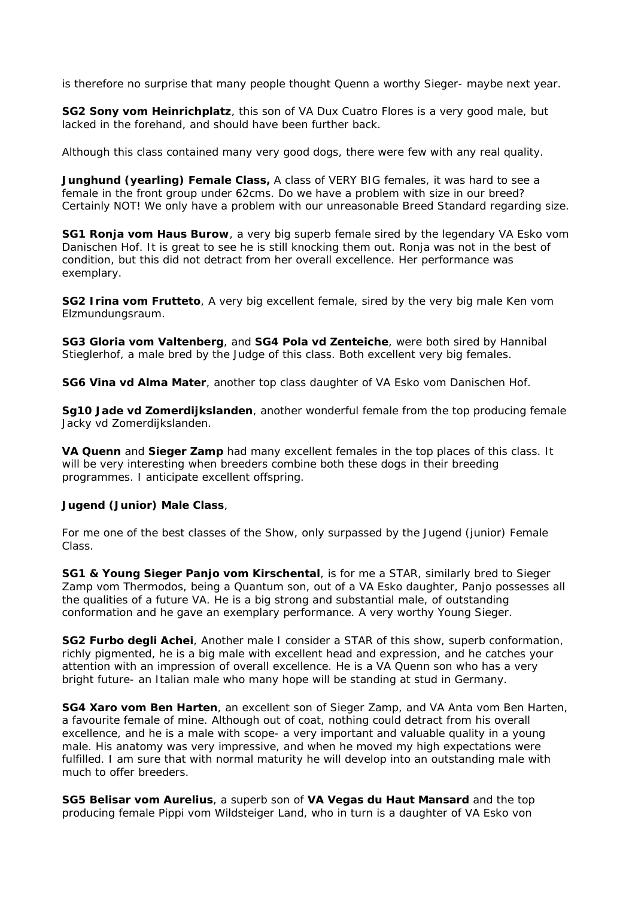is therefore no surprise that many people thought Quenn a worthy Sieger- maybe next year.

**SG2 Sony vom Heinrichplatz**, this son of VA Dux Cuatro Flores is a very good male, but lacked in the forehand, and should have been further back.

Although this class contained many very good dogs, there were few with any real quality.

**Junghund (yearling) Female Class,** A class of VERY BIG females, it was hard to see a female in the front group under 62cms. Do we have a problem with size in our breed? Certainly NOT! We only have a problem with our unreasonable Breed Standard regarding size.

**SG1 Ronja vom Haus Burow**, a very big superb female sired by the legendary VA Esko vom Danischen Hof. It is great to see he is still knocking them out. Ronja was not in the best of condition, but this did not detract from her overall excellence. Her performance was exemplary.

**SG2 Irina vom Frutteto**, A very big excellent female, sired by the very big male Ken vom Elzmundungsraum.

**SG3 Gloria vom Valtenberg**, and **SG4 Pola vd Zenteiche**, were both sired by Hannibal Stieglerhof, a male bred by the Judge of this class. Both excellent very big females.

**SG6 Vina vd Alma Mater**, another top class daughter of VA Esko vom Danischen Hof.

**Sg10 Jade vd Zomerdijkslanden**, another wonderful female from the top producing female Jacky vd Zomerdijkslanden.

**VA Quenn** and **Sieger Zamp** had many excellent females in the top places of this class. It will be very interesting when breeders combine both these dogs in their breeding programmes. I anticipate excellent offspring.

## **Jugend (Junior) Male Class**,

For me one of the best classes of the Show, only surpassed by the Jugend (junior) Female Class.

**SG1 & Young Sieger Panjo vom Kirschental**, is for me a STAR, similarly bred to Sieger Zamp vom Thermodos, being a Quantum son, out of a VA Esko daughter, Panjo possesses all the qualities of a future VA. He is a big strong and substantial male, of outstanding conformation and he gave an exemplary performance. A very worthy Young Sieger.

**SG2 Furbo degli Achei**, Another male I consider a STAR of this show, superb conformation, richly pigmented, he is a big male with excellent head and expression, and he catches your attention with an impression of overall excellence. He is a VA Quenn son who has a very bright future- an Italian male who many hope will be standing at stud in Germany.

**SG4 Xaro vom Ben Harten**, an excellent son of Sieger Zamp, and VA Anta vom Ben Harten, a favourite female of mine. Although out of coat, nothing could detract from his overall excellence, and he is a male with scope- a very important and valuable quality in a young male. His anatomy was very impressive, and when he moved my high expectations were fulfilled. I am sure that with normal maturity he will develop into an outstanding male with much to offer breeders.

**SG5 Belisar vom Aurelius**, a superb son of **VA Vegas du Haut Mansard** and the top producing female Pippi vom Wildsteiger Land, who in turn is a daughter of VA Esko von